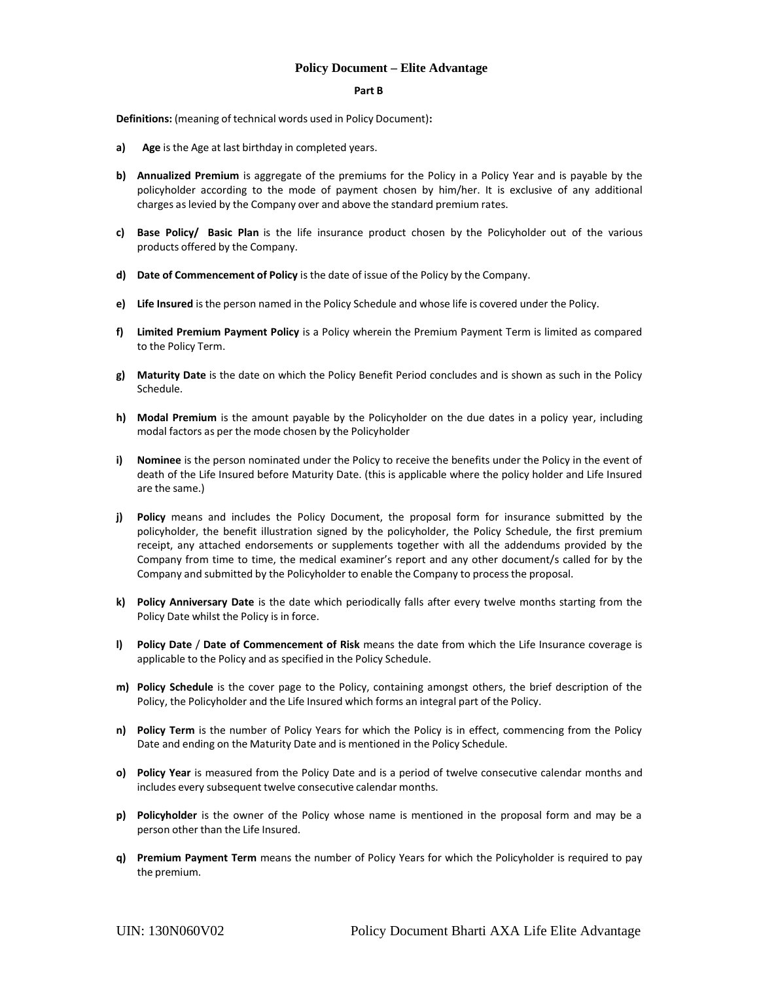#### **Part B**

**Definitions:** (meaning of technical words used in Policy Document)**:**

- **a) Age** is the Age at last birthday in completed years.
- **b) Annualized Premium** is aggregate of the premiums for the Policy in a Policy Year and is payable by the policyholder according to the mode of payment chosen by him/her. It is exclusive of any additional charges aslevied by the Company over and above the standard premium rates.
- **c) Base Policy/ Basic Plan** is the life insurance product chosen by the Policyholder out of the various products offered by the Company.
- **d) Date of Commencement of Policy** isthe date of issue of the Policy by the Company.
- **e) Life Insured** isthe person named in the Policy Schedule and whose life is covered under the Policy.
- **f) Limited Premium Payment Policy** is a Policy wherein the Premium Payment Term is limited as compared to the Policy Term.
- **g) Maturity Date** is the date on which the Policy Benefit Period concludes and is shown as such in the Policy Schedule.
- **h) Modal Premium** is the amount payable by the Policyholder on the due dates in a policy year, including modal factors as per the mode chosen by the Policyholder
- **i) Nominee** is the person nominated under the Policy to receive the benefits under the Policy in the event of death of the Life Insured before Maturity Date. (this is applicable where the policy holder and Life Insured are the same.)
- **j) Policy** means and includes the Policy Document, the proposal form for insurance submitted by the policyholder, the benefit illustration signed by the policyholder, the Policy Schedule, the first premium receipt, any attached endorsements or supplements together with all the addendums provided by the Company from time to time, the medical examiner's report and any other document/s called for by the Company and submitted by the Policyholder to enable the Company to processthe proposal.
- **k) Policy Anniversary Date** is the date which periodically falls after every twelve months starting from the Policy Date whilst the Policy is in force.
- **l) Policy Date** / **Date of Commencement of Risk** means the date from which the Life Insurance coverage is applicable to the Policy and as specified in the Policy Schedule.
- **m) Policy Schedule** is the cover page to the Policy, containing amongst others, the brief description of the Policy, the Policyholder and the Life Insured which forms an integral part of the Policy.
- **n) Policy Term** is the number of Policy Years for which the Policy is in effect, commencing from the Policy Date and ending on the Maturity Date and is mentioned in the Policy Schedule.
- **o) Policy Year** is measured from the Policy Date and is a period of twelve consecutive calendar months and includes every subsequent twelve consecutive calendar months.
- **p) Policyholder** is the owner of the Policy whose name is mentioned in the proposal form and may be a person other than the Life Insured.
- **q) Premium Payment Term** means the number of Policy Years for which the Policyholder is required to pay the premium.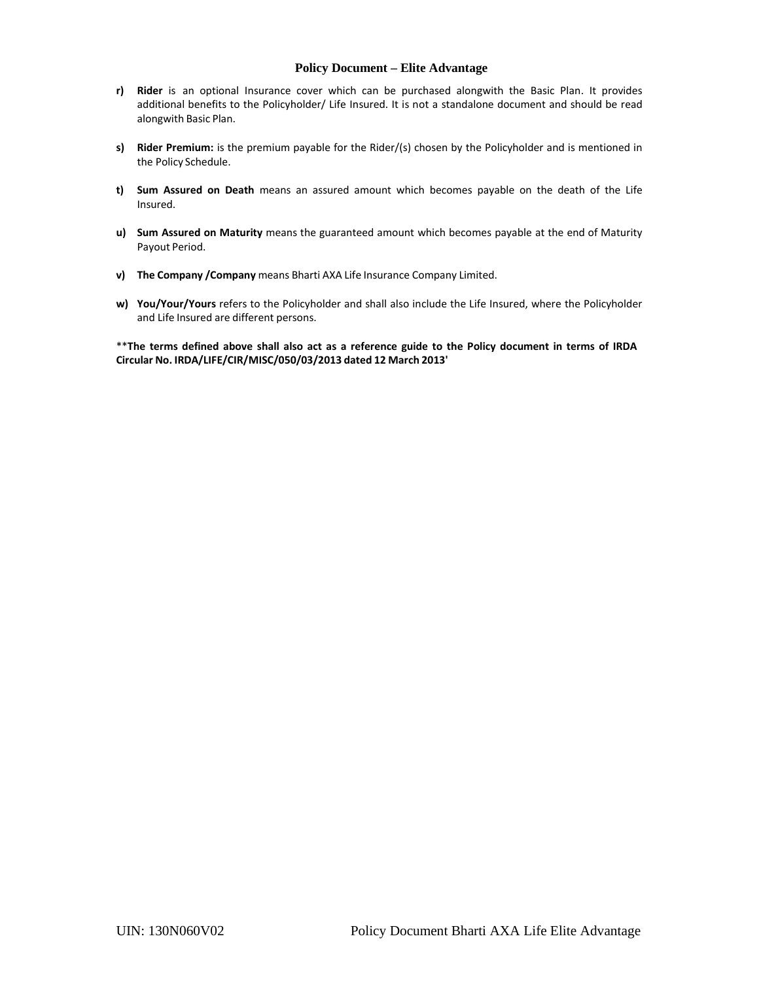- **r) Rider** is an optional Insurance cover which can be purchased alongwith the Basic Plan. It provides additional benefits to the Policyholder/ Life Insured. It is not a standalone document and should be read alongwith Basic Plan.
- **s) Rider Premium:** is the premium payable for the Rider/(s) chosen by the Policyholder and is mentioned in the Policy Schedule.
- **t) Sum Assured on Death** means an assured amount which becomes payable on the death of the Life Insured.
- **u) Sum Assured on Maturity** means the guaranteed amount which becomes payable at the end of Maturity Payout Period.
- **v) The Company /Company** means Bharti AXA Life Insurance Company Limited.
- **w) You/Your/Yours** refers to the Policyholder and shall also include the Life Insured, where the Policyholder and Life Insured are different persons.

\*\* The terms defined above shall also act as a reference guide to the Policy document in terms of IRDA **Circular No. IRDA/LIFE/CIR/MISC/050/03/2013 dated 12 March 2013'**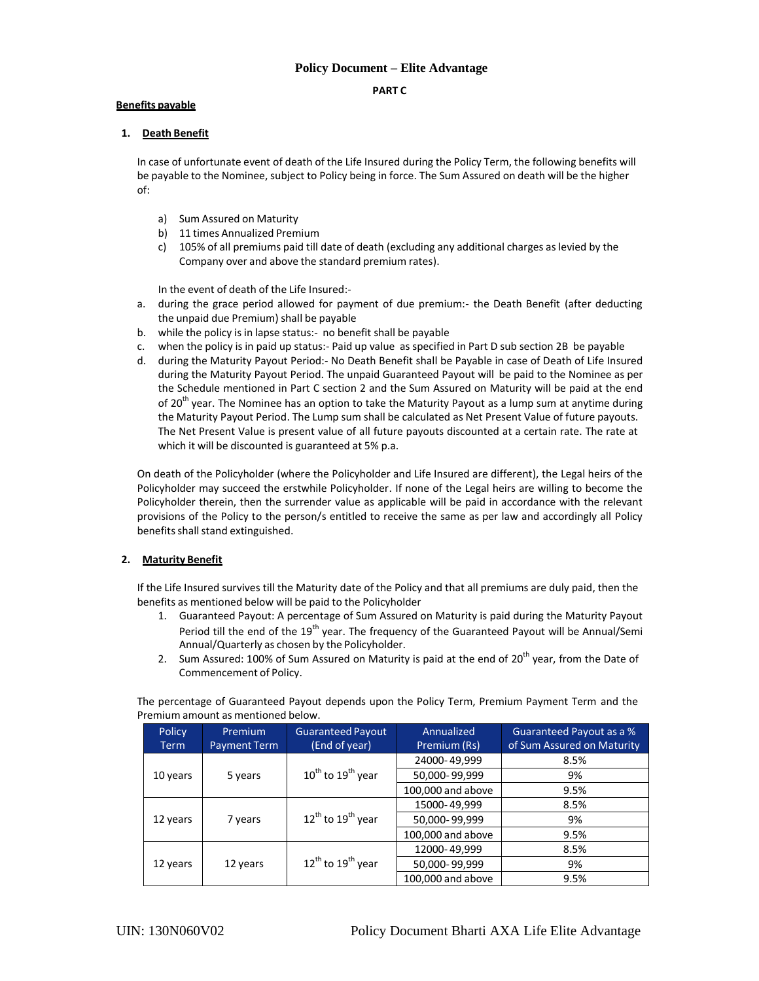### **PART C**

### **Benefits payable**

### **1. Death Benefit**

In case of unfortunate event of death of the Life Insured during the Policy Term, the following benefits will be payable to the Nominee, subject to Policy being in force. The Sum Assured on death will be the higher of:

- a) Sum Assured on Maturity
- b) 11 times Annualized Premium
- c) 105% of all premiums paid till date of death (excluding any additional charges aslevied by the Company over and above the standard premium rates).

In the event of death of the Life Insured:‐

- a. during the grace period allowed for payment of due premium: the Death Benefit (after deducting the unpaid due Premium) shall be payable
- b. while the policy is in lapse status:‐ no benefit shall be payable
- c. when the policy is in paid up status:‐ Paid up value as specified in Part D sub section 2B be payable
- d. during the Maturity Payout Period:‐ No Death Benefit shall be Payable in case of Death of Life Insured during the Maturity Payout Period. The unpaid Guaranteed Payout will be paid to the Nominee as per the Schedule mentioned in Part C section 2 and the Sum Assured on Maturity will be paid at the end of 20<sup>th</sup> year. The Nominee has an option to take the Maturity Payout as a lump sum at anytime during the Maturity Payout Period. The Lump sum shall be calculated as Net Present Value of future payouts. The Net Present Value is present value of all future payouts discounted at a certain rate. The rate at which it will be discounted is guaranteed at 5% p.a.

On death of the Policyholder (where the Policyholder and Life Insured are different), the Legal heirs of the Policyholder may succeed the erstwhile Policyholder. If none of the Legal heirs are willing to become the Policyholder therein, then the surrender value as applicable will be paid in accordance with the relevant provisions of the Policy to the person/s entitled to receive the same as per law and accordingly all Policy benefits shall stand extinguished.

## **2. Maturity Benefit**

If the Life Insured survives till the Maturity date of the Policy and that all premiums are duly paid, then the benefits as mentioned below will be paid to the Policyholder

- 1. Guaranteed Payout: A percentage of Sum Assured on Maturity is paid during the Maturity Payout Period till the end of the 19<sup>th</sup> year. The frequency of the Guaranteed Payout will be Annual/Semi Annual/Quarterly as chosen by the Policyholder.
- 2. Sum Assured: 100% of Sum Assured on Maturity is paid at the end of  $20^{th}$  year, from the Date of Commencement of Policy.

The percentage of Guaranteed Payout depends upon the Policy Term, Premium Payment Term and the Premium amount as mentioned below.

| Policy<br>Term | Premium<br><b>Payment Term</b> | <b>Guaranteed Payout</b><br>(End of year) | Annualized<br>Premium (Rs) | Guaranteed Payout as a %<br>of Sum Assured on Maturity |
|----------------|--------------------------------|-------------------------------------------|----------------------------|--------------------------------------------------------|
|                |                                | $10^{th}$ to $19^{th}$ year               | 24000-49,999               | 8.5%                                                   |
| 10 years       | 5 years                        |                                           | 50,000-99,999              | 9%                                                     |
|                |                                |                                           | 100,000 and above          | 9.5%                                                   |
| 12 years       | 7 years<br>12 years            | $12^{th}$ to $19^{th}$ year               | 15000-49,999               | 8.5%                                                   |
|                |                                |                                           | 50,000-99,999              | 9%                                                     |
|                |                                |                                           | 100,000 and above          | 9.5%                                                   |
| 12 years       |                                | $12^{th}$ to $19^{th}$ year               | 12000-49,999               | 8.5%                                                   |
|                |                                |                                           | 50,000-99,999              | 9%                                                     |
|                |                                |                                           | 100,000 and above          | 9.5%                                                   |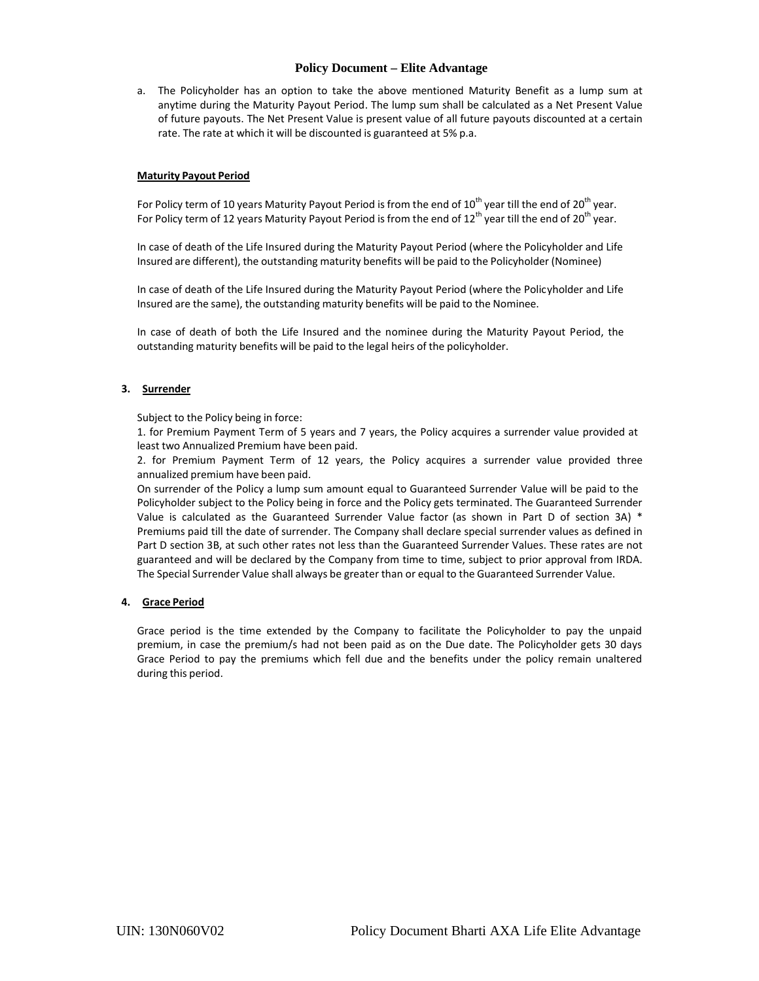a. The Policyholder has an option to take the above mentioned Maturity Benefit as a lump sum at anytime during the Maturity Payout Period. The lump sum shall be calculated as a Net Present Value of future payouts. The Net Present Value is present value of all future payouts discounted at a certain rate. The rate at which it will be discounted is guaranteed at 5% p.a.

#### **Maturity Payout Period**

For Policy term of 10 years Maturity Payout Period is from the end of  $10^{th}$  year till the end of  $20^{th}$  year. For Policy term of 12 years Maturity Payout Period is from the end of  $12^{th}$  year till the end of  $20^{th}$  year.

In case of death of the Life Insured during the Maturity Payout Period (where the Policyholder and Life Insured are different), the outstanding maturity benefits will be paid to the Policyholder (Nominee)

In case of death of the Life Insured during the Maturity Payout Period (where the Policyholder and Life Insured are the same), the outstanding maturity benefits will be paid to the Nominee.

In case of death of both the Life Insured and the nominee during the Maturity Payout Period, the outstanding maturity benefits will be paid to the legal heirs of the policyholder.

### **3. Surrender**

Subject to the Policy being in force:

1. for Premium Payment Term of 5 years and 7 years, the Policy acquires a surrender value provided at least two Annualized Premium have been paid.

2. for Premium Payment Term of 12 years, the Policy acquires a surrender value provided three annualized premium have been paid.

On surrender of the Policy a lump sum amount equal to Guaranteed Surrender Value will be paid to the Policyholder subject to the Policy being in force and the Policy gets terminated. The Guaranteed Surrender Value is calculated as the Guaranteed Surrender Value factor (as shown in Part D of section 3A) \* Premiums paid till the date of surrender. The Company shall declare special surrender values as defined in Part D section 3B, at such other rates not less than the Guaranteed Surrender Values. These rates are not guaranteed and will be declared by the Company from time to time, subject to prior approval from IRDA. The Special Surrender Value shall always be greater than or equal to the Guaranteed Surrender Value.

### **4. Grace Period**

Grace period is the time extended by the Company to facilitate the Policyholder to pay the unpaid premium, in case the premium/s had not been paid as on the Due date. The Policyholder gets 30 days Grace Period to pay the premiums which fell due and the benefits under the policy remain unaltered during this period.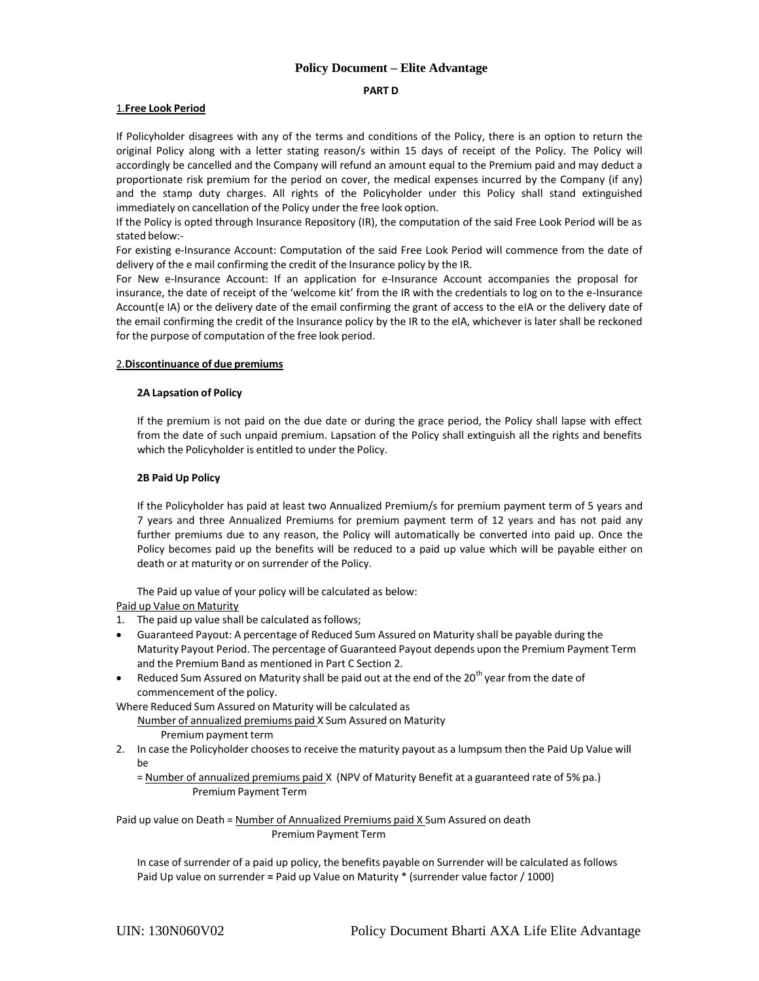#### **PART D**

#### 1.**Free Look Period**

If Policyholder disagrees with any of the terms and conditions of the Policy, there is an option to return the original Policy along with a letter stating reason/s within 15 days of receipt of the Policy. The Policy will accordingly be cancelled and the Company will refund an amount equal to the Premium paid and may deduct a proportionate risk premium for the period on cover, the medical expenses incurred by the Company (if any) and the stamp duty charges. All rights of the Policyholder under this Policy shall stand extinguished immediately on cancellation of the Policy under the free look option.

If the Policy is opted through Insurance Repository (IR), the computation of the said Free Look Period will be as stated below:‐

For existing e-Insurance Account: Computation of the said Free Look Period will commence from the date of delivery of the e mail confirming the credit of the Insurance policy by the IR.

For New e-Insurance Account: If an application for e-Insurance Account accompanies the proposal for insurance, the date of receipt of the 'welcome kit' from the IR with the credentials to log on to the e‐Insurance Account(e IA) or the delivery date of the email confirming the grant of access to the eIA or the delivery date of the email confirming the credit of the Insurance policy by the IR to the eIA, whichever is later shall be reckoned for the purpose of computation of the free look period.

#### 2.**Discontinuance of due premiums**

#### **2A Lapsation of Policy**

If the premium is not paid on the due date or during the grace period, the Policy shall lapse with effect from the date of such unpaid premium. Lapsation of the Policy shall extinguish all the rights and benefits which the Policyholder is entitled to under the Policy.

#### **2B Paid Up Policy**

If the Policyholder has paid at least two Annualized Premium/s for premium payment term of 5 years and 7 years and three Annualized Premiums for premium payment term of 12 years and has not paid any further premiums due to any reason, the Policy will automatically be converted into paid up. Once the Policy becomes paid up the benefits will be reduced to a paid up value which will be payable either on death or at maturity or on surrender of the Policy.

The Paid up value of your policy will be calculated as below:

Paid up Value on Maturity

- 1. The paid up value shall be calculated as follows;
- Guaranteed Payout: A percentage of Reduced Sum Assured on Maturity shall be payable during the Maturity Payout Period. The percentage of Guaranteed Payout depends upon the Premium Payment Term and the Premium Band as mentioned in Part C Section 2.
- Reduced Sum Assured on Maturity shall be paid out at the end of the  $20<sup>th</sup>$  year from the date of commencement of the policy.

Where Reduced Sum Assured on Maturity will be calculated as Number of annualized premiums paid X Sum Assured on Maturity Premium payment term

2. In case the Policyholder chooses to receive the maturity payout as a lumpsum then the Paid Up Value will be

= Number of annualized premiums paid X (NPV of Maturity Benefit at a guaranteed rate of 5% pa.) Premium Payment Term

Paid up value on Death = Number of Annualized Premiums paid X Sum Assured on death Premium Payment Term

In case of surrender of a paid up policy, the benefits payable on Surrender will be calculated asfollows Paid Up value on surrender **=** Paid up Value on Maturity \* (surrender value factor / 1000)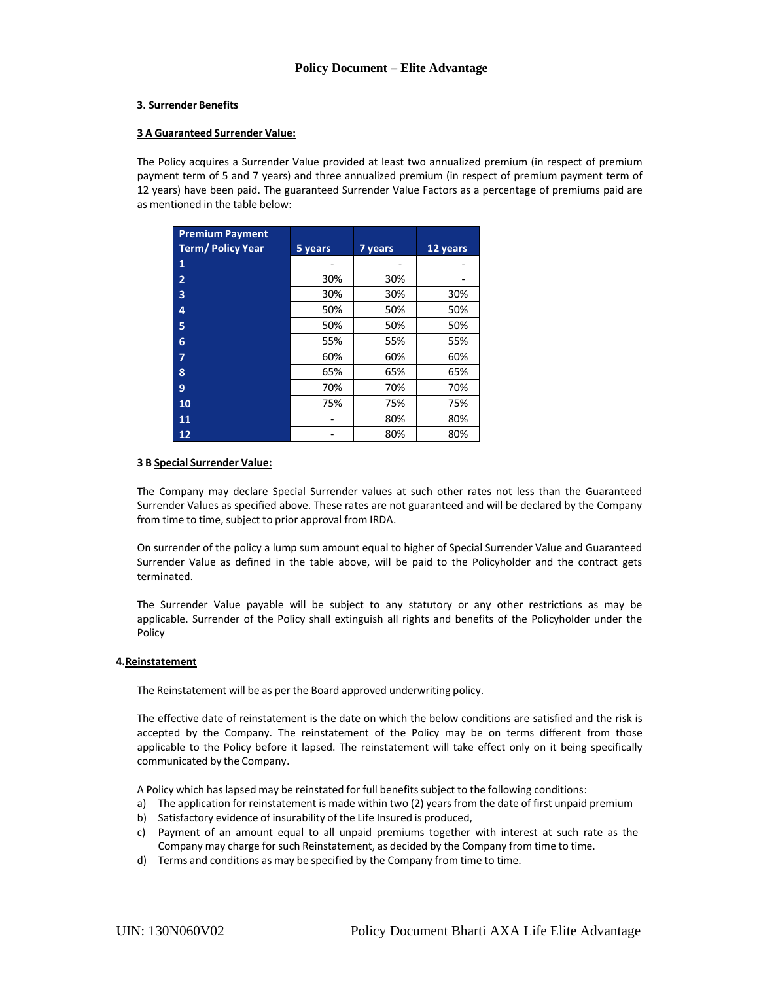#### **3. Surrender Benefits**

#### **3 A Guaranteed Surrender Value:**

The Policy acquires a Surrender Value provided at least two annualized premium (in respect of premium payment term of 5 and 7 years) and three annualized premium (in respect of premium payment term of 12 years) have been paid. The guaranteed Surrender Value Factors as a percentage of premiums paid are as mentioned in the table below:

| <b>Premium Payment</b>  |         |         |          |
|-------------------------|---------|---------|----------|
| <b>Term/Policy Year</b> | 5 years | 7 years | 12 years |
| 1                       |         |         |          |
| 2                       | 30%     | 30%     |          |
| 3                       | 30%     | 30%     | 30%      |
| 4                       | 50%     | 50%     | 50%      |
| 5                       | 50%     | 50%     | 50%      |
| 6                       | 55%     | 55%     | 55%      |
| 7                       | 60%     | 60%     | 60%      |
| 8                       | 65%     | 65%     | 65%      |
| 9                       | 70%     | 70%     | 70%      |
| 10                      | 75%     | 75%     | 75%      |
| 11                      |         | 80%     | 80%      |
| 12                      |         | 80%     | 80%      |

#### **3 B Special Surrender Value:**

The Company may declare Special Surrender values at such other rates not less than the Guaranteed Surrender Values as specified above. These rates are not guaranteed and will be declared by the Company from time to time, subject to prior approval from IRDA.

On surrender of the policy a lump sum amount equal to higher of Special Surrender Value and Guaranteed Surrender Value as defined in the table above, will be paid to the Policyholder and the contract gets terminated.

The Surrender Value payable will be subject to any statutory or any other restrictions as may be applicable. Surrender of the Policy shall extinguish all rights and benefits of the Policyholder under the Policy

#### **4.Reinstatement**

The Reinstatement will be as per the Board approved underwriting policy.

The effective date of reinstatement is the date on which the below conditions are satisfied and the risk is accepted by the Company. The reinstatement of the Policy may be on terms different from those applicable to the Policy before it lapsed. The reinstatement will take effect only on it being specifically communicated by the Company.

A Policy which has lapsed may be reinstated for full benefits subject to the following conditions:

- a) The application for reinstatement is made within two (2) years from the date of first unpaid premium
- b) Satisfactory evidence of insurability of the Life Insured is produced,
- c) Payment of an amount equal to all unpaid premiums together with interest at such rate as the Company may charge for such Reinstatement, as decided by the Company from time to time.
- d) Terms and conditions as may be specified by the Company from time to time.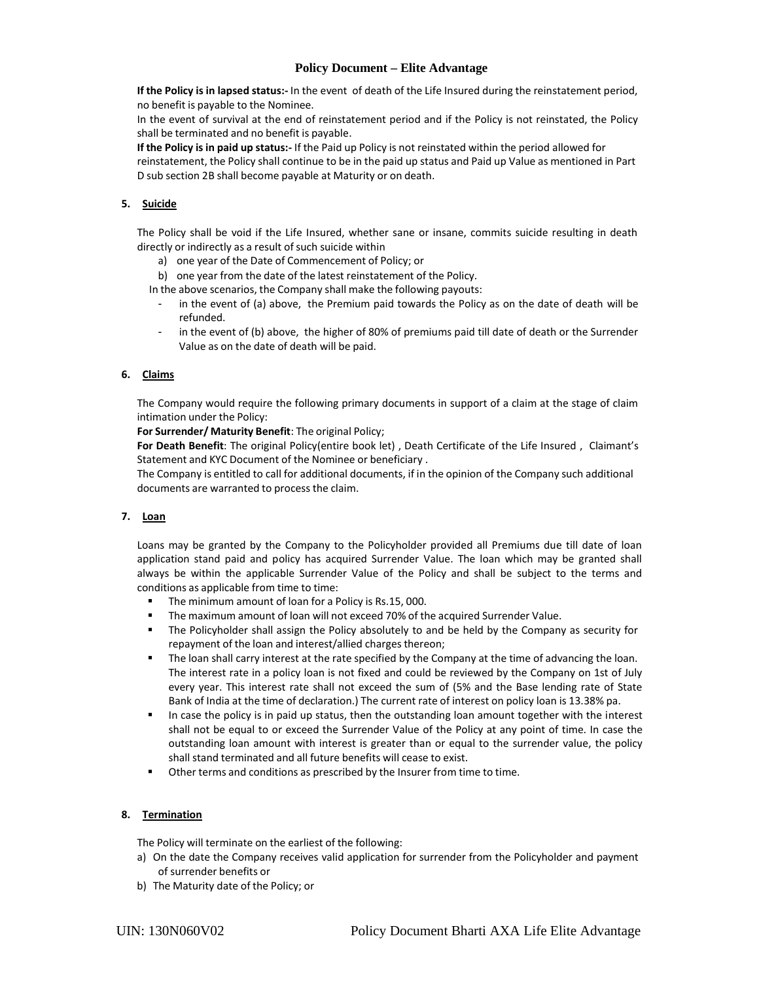**If the Policy is in lapsed status:‐** In the event of death of the Life Insured during the reinstatement period, no benefit is payable to the Nominee.

In the event of survival at the end of reinstatement period and if the Policy is not reinstated, the Policy shall be terminated and no benefit is payable.

**If the Policy is in paid up status:‐** If the Paid up Policy is not reinstated within the period allowed for reinstatement, the Policy shall continue to be in the paid up status and Paid up Value as mentioned in Part D sub section 2B shall become payable at Maturity or on death.

## **5. Suicide**

The Policy shall be void if the Life Insured, whether sane or insane, commits suicide resulting in death directly or indirectly as a result of such suicide within

- a) one year of the Date of Commencement of Policy; or
- b) one year from the date of the latest reinstatement of the Policy.

In the above scenarios, the Company shall make the following payouts:

- in the event of (a) above, the Premium paid towards the Policy as on the date of death will be refunded.
- in the event of (b) above, the higher of 80% of premiums paid till date of death or the Surrender Value as on the date of death will be paid.

## **6. Claims**

The Company would require the following primary documents in support of a claim at the stage of claim intimation under the Policy:

**For Surrender/ Maturity Benefit**: The original Policy;

**For Death Benefit**: The original Policy(entire book let) , Death Certificate of the Life Insured , Claimant's Statement and KYC Document of the Nominee or beneficiary .

The Company is entitled to call for additional documents, if in the opinion of the Company such additional documents are warranted to process the claim.

### **7. Loan**

Loans may be granted by the Company to the Policyholder provided all Premiums due till date of loan application stand paid and policy has acquired Surrender Value. The loan which may be granted shall always be within the applicable Surrender Value of the Policy and shall be subject to the terms and conditions as applicable from time to time:

- The minimum amount of loan for a Policy is Rs.15, 000.
- The maximum amount of loan will not exceed 70% of the acquired Surrender Value.
- The Policyholder shall assign the Policy absolutely to and be held by the Company as security for repayment of the loan and interest/allied charges thereon;
- The loan shall carry interest at the rate specified by the Company at the time of advancing the loan. The interest rate in a policy loan is not fixed and could be reviewed by the Company on 1st of July every year. This interest rate shall not exceed the sum of (5% and the Base lending rate of State Bank of India at the time of declaration.) The current rate of interest on policy loan is 13.38% pa.
- In case the policy is in paid up status, then the outstanding loan amount together with the interest shall not be equal to or exceed the Surrender Value of the Policy at any point of time. In case the outstanding loan amount with interest is greater than or equal to the surrender value, the policy shall stand terminated and all future benefits will cease to exist.
- Other terms and conditions as prescribed by the Insurer from time to time.

## **8. Termination**

The Policy will terminate on the earliest of the following:

- a) On the date the Company receives valid application for surrender from the Policyholder and payment of surrender benefits or
- b) The Maturity date of the Policy; or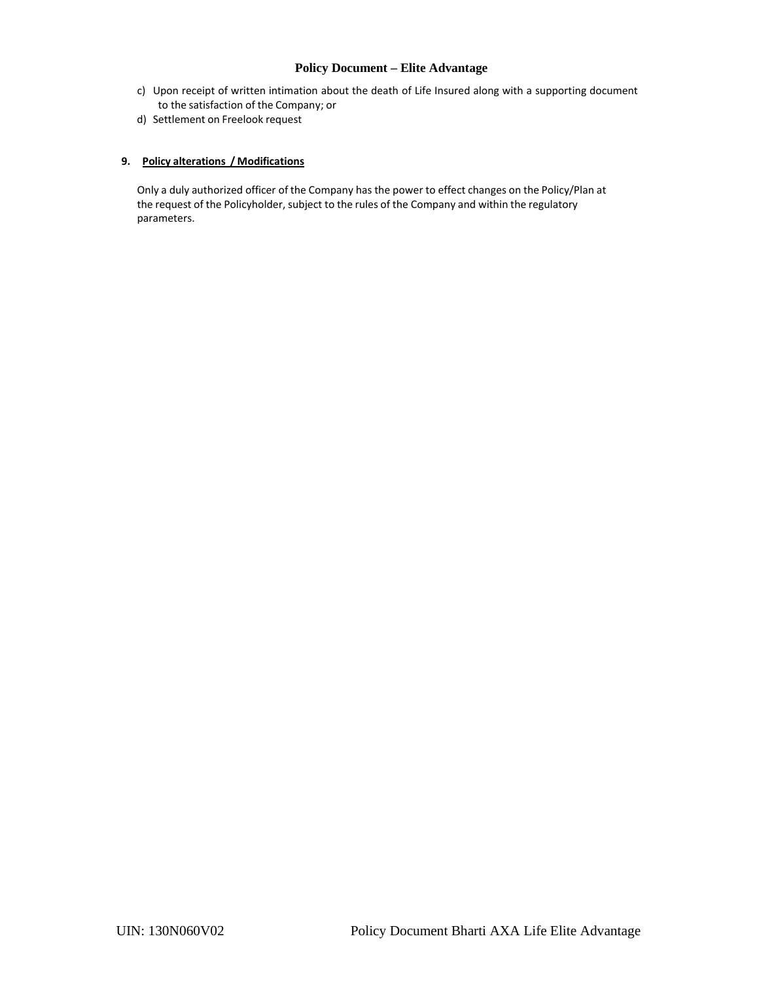- c) Upon receipt of written intimation about the death of Life Insured along with a supporting document to the satisfaction of the Company; or
- d) Settlement on Freelook request

## **9. Policy alterations / Modifications**

Only a duly authorized officer of the Company has the power to effect changes on the Policy/Plan at the request of the Policyholder, subject to the rules of the Company and within the regulatory parameters.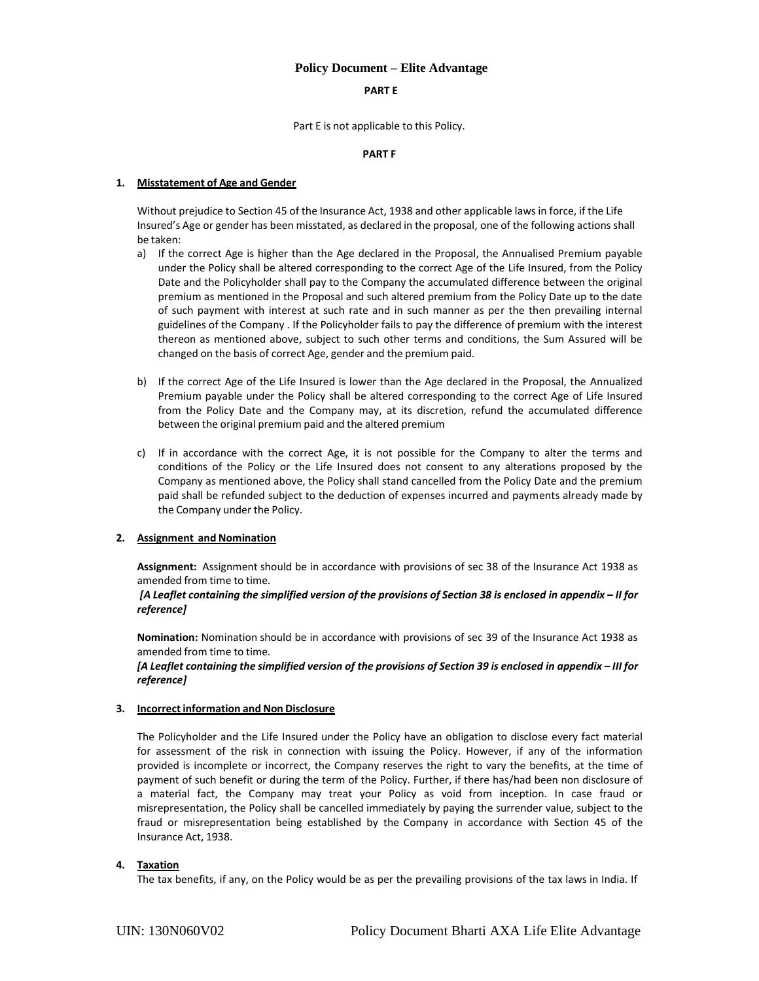#### **PART E**

Part E is not applicable to this Policy.

### **PART F**

### **1. Misstatement of Age and Gender**

Without prejudice to Section 45 of the Insurance Act, 1938 and other applicable lawsin force, if the Life Insured's Age or gender has been misstated, as declared in the proposal, one of the following actions shall be taken:

- a) If the correct Age is higher than the Age declared in the Proposal, the Annualised Premium payable under the Policy shall be altered corresponding to the correct Age of the Life Insured, from the Policy Date and the Policyholder shall pay to the Company the accumulated difference between the original premium as mentioned in the Proposal and such altered premium from the Policy Date up to the date of such payment with interest at such rate and in such manner as per the then prevailing internal guidelines of the Company . If the Policyholder fails to pay the difference of premium with the interest thereon as mentioned above, subject to such other terms and conditions, the Sum Assured will be changed on the basis of correct Age, gender and the premium paid.
- b) If the correct Age of the Life Insured is lower than the Age declared in the Proposal, the Annualized Premium payable under the Policy shall be altered corresponding to the correct Age of Life Insured from the Policy Date and the Company may, at its discretion, refund the accumulated difference between the original premium paid and the altered premium
- c) If in accordance with the correct Age, it is not possible for the Company to alter the terms and conditions of the Policy or the Life Insured does not consent to any alterations proposed by the Company as mentioned above, the Policy shall stand cancelled from the Policy Date and the premium paid shall be refunded subject to the deduction of expenses incurred and payments already made by the Company under the Policy.

### **2. Assignment and Nomination**

Assignment: Assignment should be in accordance with provisions of sec 38 of the Insurance Act 1938 as amended from time to time.

### [A Leaflet containing the simplified version of the provisions of Section 38 is enclosed in appendix - II for *reference]*

**Nomination:** Nomination should be in accordance with provisions of sec 39 of the Insurance Act 1938 as amended from time to time.

[A Leaflet containing the simplified version of the provisions of Section 39 is enclosed in appendix - III for *reference]*

### **3. Incorrectinformation and Non Disclosure**

The Policyholder and the Life Insured under the Policy have an obligation to disclose every fact material for assessment of the risk in connection with issuing the Policy. However, if any of the information provided is incomplete or incorrect, the Company reserves the right to vary the benefits, at the time of payment of such benefit or during the term of the Policy. Further, if there has/had been non disclosure of a material fact, the Company may treat your Policy as void from inception. In case fraud or misrepresentation, the Policy shall be cancelled immediately by paying the surrender value, subject to the fraud or misrepresentation being established by the Company in accordance with Section 45 of the Insurance Act, 1938.

### **4. Taxation**

The tax benefits, if any, on the Policy would be as per the prevailing provisions of the tax laws in India. If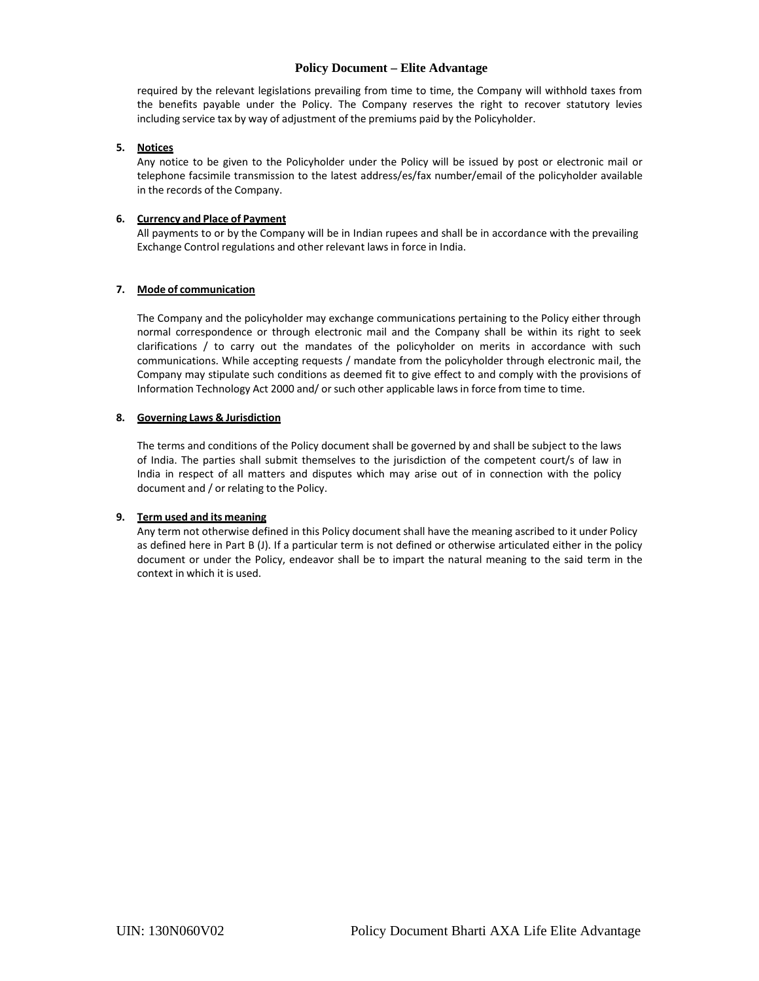required by the relevant legislations prevailing from time to time, the Company will withhold taxes from the benefits payable under the Policy. The Company reserves the right to recover statutory levies including service tax by way of adjustment of the premiums paid by the Policyholder.

#### **5. Notices**

Any notice to be given to the Policyholder under the Policy will be issued by post or electronic mail or telephone facsimile transmission to the latest address/es/fax number/email of the policyholder available in the records of the Company.

### **6. Currency and Place of Payment**

All payments to or by the Company will be in Indian rupees and shall be in accordance with the prevailing Exchange Control regulations and other relevant lawsin force in India.

### **7. Mode of communication**

The Company and the policyholder may exchange communications pertaining to the Policy either through normal correspondence or through electronic mail and the Company shall be within its right to seek clarifications / to carry out the mandates of the policyholder on merits in accordance with such communications. While accepting requests / mandate from the policyholder through electronic mail, the Company may stipulate such conditions as deemed fit to give effect to and comply with the provisions of Information Technology Act 2000 and/ or such other applicable lawsin force from time to time.

### **8. Governing Laws & Jurisdiction**

The terms and conditions of the Policy document shall be governed by and shall be subject to the laws of India. The parties shall submit themselves to the jurisdiction of the competent court/s of law in India in respect of all matters and disputes which may arise out of in connection with the policy document and / or relating to the Policy.

### **9. Term used and its meaning**

Any term not otherwise defined in this Policy document shall have the meaning ascribed to it under Policy as defined here in Part B (J). If a particular term is not defined or otherwise articulated either in the policy document or under the Policy, endeavor shall be to impart the natural meaning to the said term in the context in which it is used.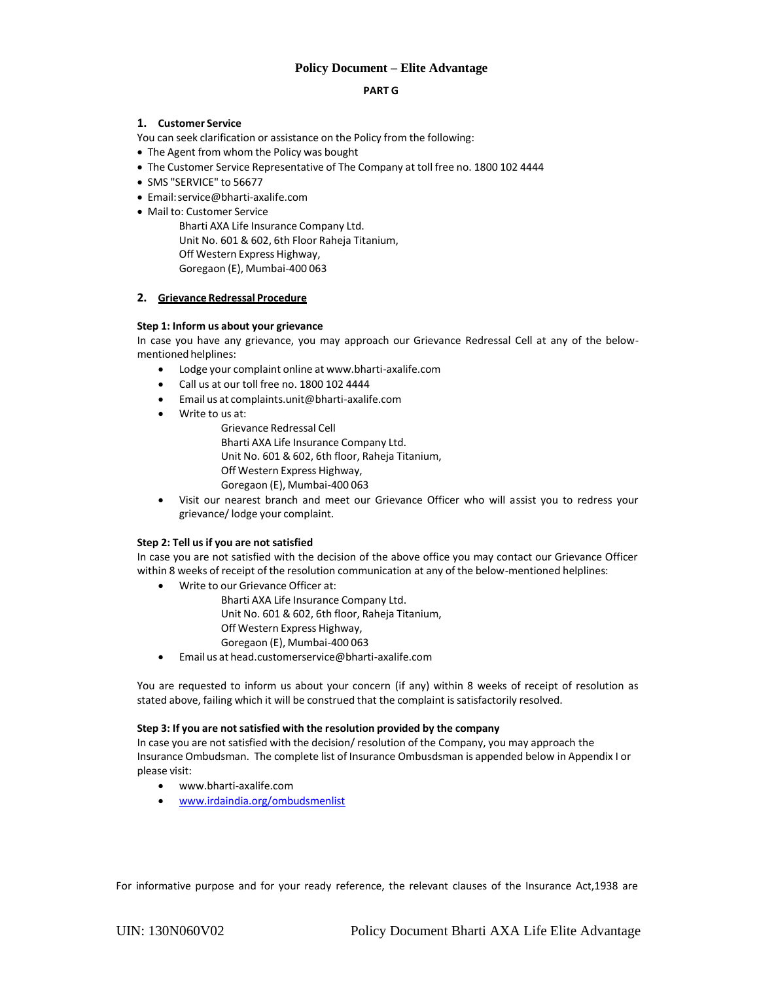#### **PART G**

### **1. Customer Service**

You can seek clarification or assistance on the Policy from the following:

The Agent from whom the Policy was bought

- The Customer Service Representative of The Company at toll free no. 1800 102 4444
- SMS "SERVICE" to 56677
- Email:service@bharti‐axalife.com
- Mail to: Customer Service

Bharti AXA Life Insurance Company Ltd. Unit No. 601 & 602, 6th Floor Raheja Titanium, Off Western Express Highway, Goregaon (E), Mumbai‐400 063

## **2. Grievance Redressal Procedure**

### **Step 1: Inform us about your grievance**

In case you have any grievance, you may approach our Grievance Redressal Cell at any of the below‐ mentioned helplines:

- Lodge your complaint online at www.bharti‐axalife.com
- Call us at our toll free no. 1800 102 4444
- Email us at complaints.unit@bharti‐axalife.com
- Write to us at:
	- Grievance Redressal Cell Bharti AXA Life Insurance Company Ltd. Unit No. 601 & 602, 6th floor, Raheja Titanium, Off Western Express Highway, Goregaon (E), Mumbai‐400 063
- Visit our nearest branch and meet our Grievance Officer who will assist you to redress your grievance/lodge your complaint.

### **Step 2: Tell us if you are not satisfied**

In case you are not satisfied with the decision of the above office you may contact our Grievance Officer within 8 weeks of receipt of the resolution communication at any of the below-mentioned helplines:

Write to our Grievance Officer at:

Bharti AXA Life Insurance Company Ltd. Unit No. 601 & 602, 6th floor, Raheja Titanium, Off Western Express Highway, Goregaon (E), Mumbai‐400 063

Email us at head.customerservice@bharti‐axalife.com

You are requested to inform us about your concern (if any) within 8 weeks of receipt of resolution as stated above, failing which it will be construed that the complaint is satisfactorily resolved.

### **Step 3: If you are not satisfied with the resolution provided by the company**

In case you are not satisfied with the decision/ resolution of the Company, you may approach the Insurance Ombudsman. The complete list of Insurance Ombusdsman is appended below in Appendix I or please visit:

- www.bharti‐axalife.com
- www.irdaindia.org/ombudsmenlist

For informative purpose and for your ready reference, the relevant clauses of the Insurance Act,1938 are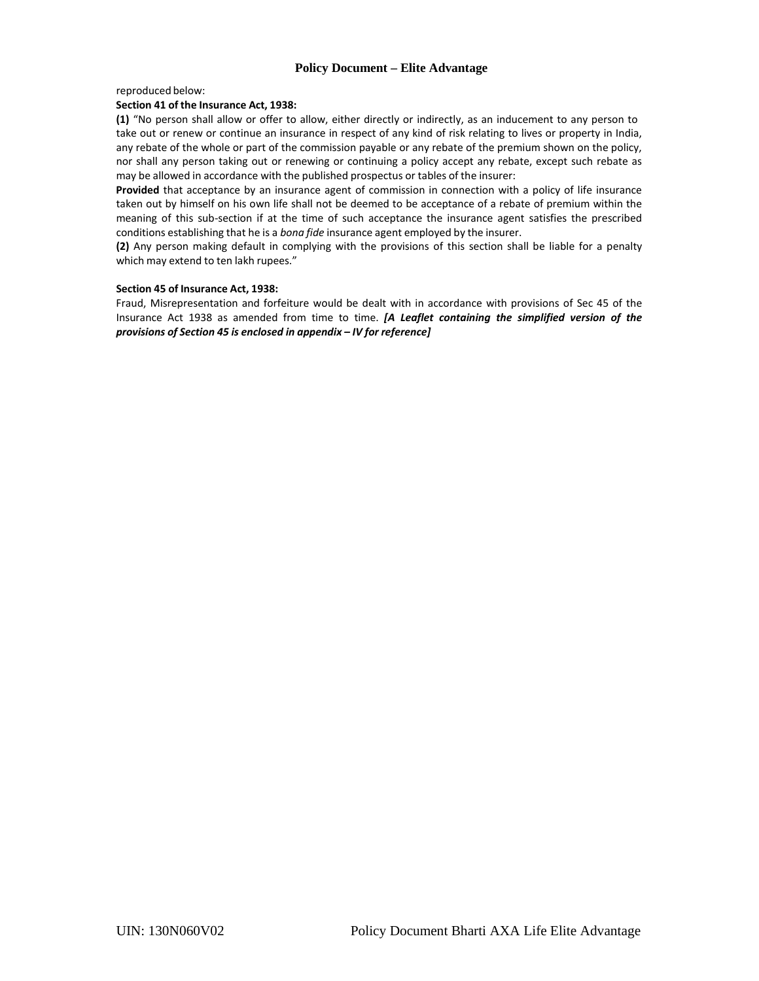reproduced below:

#### **Section 41 of the Insurance Act, 1938:**

**(1)** "No person shall allow or offer to allow, either directly or indirectly, as an inducement to any person to take out or renew or continue an insurance in respect of any kind of risk relating to lives or property in India, any rebate of the whole or part of the commission payable or any rebate of the premium shown on the policy, nor shall any person taking out or renewing or continuing a policy accept any rebate, except such rebate as may be allowed in accordance with the published prospectus or tables of the insurer:

**Provided** that acceptance by an insurance agent of commission in connection with a policy of life insurance taken out by himself on his own life shall not be deemed to be acceptance of a rebate of premium within the meaning of this sub‐section if at the time of such acceptance the insurance agent satisfies the prescribed conditions establishing that he is a *bona fide* insurance agent employed by the insurer.

**(2)** Any person making default in complying with the provisions of this section shall be liable for a penalty which may extend to ten lakh rupees."

#### **Section 45 of Insurance Act, 1938:**

Fraud, Misrepresentation and forfeiture would be dealt with in accordance with provisions of Sec 45 of the Insurance Act 1938 as amended from time to time. *[A Leaflet containing the simplified version of the provisions of Section 45 is enclosed in appendix – IV for reference]*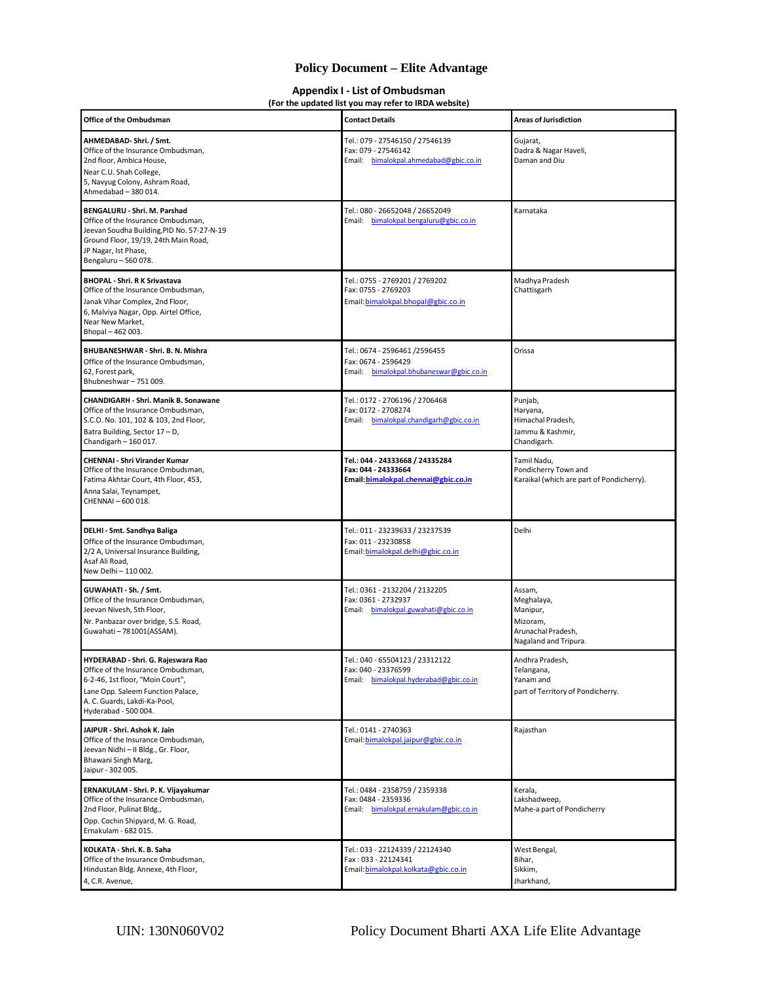#### **Appendix I ‐ List of Ombudsman (For the updated list you may refer to IRDA website)**

| Office of the Ombudsman                                                                                                                                                                                   | <b>Contact Details</b>                                                                           | <b>Areas of Jurisdiction</b>                                                                |
|-----------------------------------------------------------------------------------------------------------------------------------------------------------------------------------------------------------|--------------------------------------------------------------------------------------------------|---------------------------------------------------------------------------------------------|
| AHMEDABAD-Shri. / Smt.<br>Office of the Insurance Ombudsman,<br>2nd floor, Ambica House,<br>Near C.U. Shah College,<br>5, Navyug Colony, Ashram Road,<br>Ahmedabad - 380 014.                             | Tel.: 079 - 27546150 / 27546139<br>Fax: 079 - 27546142<br>Email: bimalokpal.ahmedabad@gbic.co.in | Gujarat,<br>Dadra & Nagar Haveli,<br>Daman and Diu                                          |
| BENGALURU - Shri. M. Parshad<br>Office of the Insurance Ombudsman,<br>Jeevan Soudha Building, PID No. 57-27-N-19<br>Ground Floor, 19/19, 24th Main Road,<br>JP Nagar, Ist Phase,<br>Bengaluru - 560 078.  | Tel.: 080 - 26652048 / 26652049<br>Email: bimalokpal.bengaluru@gbic.co.in                        | Karnataka                                                                                   |
| <b>BHOPAL - Shri. R K Srivastava</b><br>Office of the Insurance Ombudsman,<br>Janak Vihar Complex, 2nd Floor,<br>6, Malviya Nagar, Opp. Airtel Office,<br>Near New Market,<br>Bhopal-462003.              | Tel.: 0755 - 2769201 / 2769202<br>Fax: 0755 - 2769203<br>Email: bimalokpal.bhopal@gbic.co.in     | Madhya Pradesh<br>Chattisgarh                                                               |
| BHUBANESHWAR - Shri, B. N. Mishra<br>Office of the Insurance Ombudsman,<br>62, Forest park,<br>Bhubneshwar-751009.                                                                                        | Tel.: 0674 - 2596461 /2596455<br>Fax: 0674 - 2596429<br>Email: bimalokpal.bhubaneswar@gbic.co.in | Orissa                                                                                      |
| CHANDIGARH - Shri. Manik B. Sonawane<br>Office of the Insurance Ombudsman,<br>S.C.O. No. 101, 102 & 103, 2nd Floor,<br>Batra Building, Sector 17 - D,<br>Chandigarh - 160 017.                            | Tel.: 0172 - 2706196 / 2706468<br>Fax: 0172 - 2708274<br>Email: bimalokpal.chandigarh@gbic.co.in | Punjab,<br>Haryana,<br>Himachal Pradesh,<br>Jammu & Kashmir,<br>Chandigarh.                 |
| <b>CHENNAI - Shri Virander Kumar</b><br>Office of the Insurance Ombudsman,<br>Fatima Akhtar Court, 4th Floor, 453,<br>Anna Salai, Teynampet,<br>CHENNAI-600018.                                           | Tel.: 044 - 24333668 / 24335284<br>Fax: 044 - 24333664<br>Email: bimalokpal.chennai@gbic.co.in   | Tamil Nadu,<br>Pondicherry Town and<br>Karaikal (which are part of Pondicherry).            |
| DELHI - Smt. Sandhya Baliga<br>Office of the Insurance Ombudsman,<br>2/2 A, Universal Insurance Building,<br>Asaf Ali Road,<br>New Delhi - 110 002.                                                       | Tel.: 011 - 23239633 / 23237539<br>Fax: 011 - 23230858<br>Email: bimalokpal.delhi@gbic.co.in     | Delhi                                                                                       |
| GUWAHATI - Sh. / Smt.<br>Office of the Insurance Ombudsman,<br>Jeevan Nivesh, 5th Floor,<br>Nr. Panbazar over bridge, S.S. Road,<br>Guwahati - 781001(ASSAM).                                             | Tel.: 0361 - 2132204 / 2132205<br>Fax: 0361 - 2732937<br>Email: bimalokpal.guwahati@gbic.co.in   | Assam,<br>Meghalaya,<br>Manipur,<br>Mizoram,<br>Arunachal Pradesh,<br>Nagaland and Tripura. |
| HYDERABAD - Shri. G. Rajeswara Rao<br>Office of the Insurance Ombudsman,<br>6-2-46, 1st floor, "Moin Court",<br>Lane Opp. Saleem Function Palace,<br>A. C. Guards, Lakdi-Ka-Pool,<br>Hyderabad - 500 004. | Tel.: 040 - 65504123 / 23312122<br>Fax: 040 - 23376599<br>Email: bimalokpal.hyderabad@gbic.co.in | Andhra Pradesh,<br>Telangana,<br>Yanam and<br>part of Territory of Pondicherry.             |
| JAIPUR - Shri. Ashok K. Jain<br>Office of the Insurance Ombudsman,<br>Jeevan Nidhi - II Bldg., Gr. Floor,<br>Bhawani Singh Marg,<br>Jaipur - 302 005.                                                     | Tel.: 0141 - 2740363<br>Email: bimalokpal.jaipur@gbic.co.in                                      | Rajasthan                                                                                   |
| ERNAKULAM - Shri. P. K. Vijayakumar<br>Office of the Insurance Ombudsman,<br>2nd Floor, Pulinat Bldg.,<br>Opp. Cochin Shipyard, M. G. Road,<br>Ernakulam - 682 015.                                       | Tel.: 0484 - 2358759 / 2359338<br>Fax: 0484 - 2359336<br>Email: bimalokpal.ernakulam@gbic.co.in  | Kerala,<br>Lakshadweep,<br>Mahe-a part of Pondicherry                                       |
| KOLKATA - Shri. K. B. Saha<br>Office of the Insurance Ombudsman,<br>Hindustan Bldg. Annexe, 4th Floor,<br>4, C.R. Avenue,                                                                                 | Tel.: 033 - 22124339 / 22124340<br>Fax: 033 - 22124341<br>Email: bimalokpal.kolkata@gbic.co.in   | West Bengal,<br>Bihar,<br>Sikkim,<br>Jharkhand,                                             |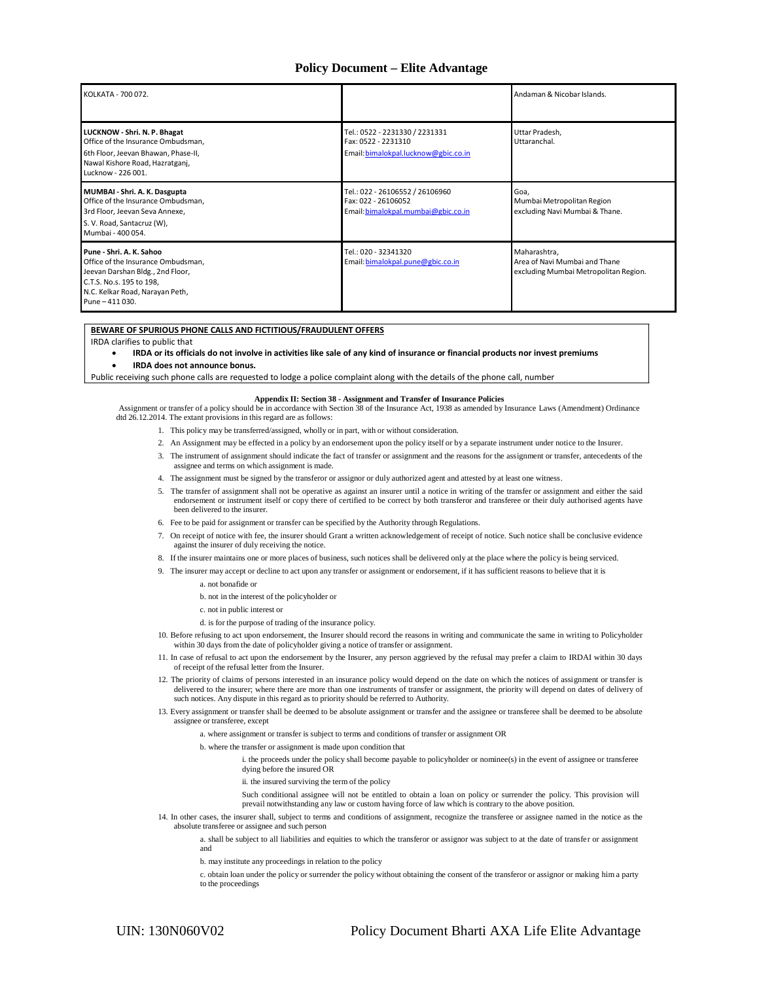| KOLKATA - 700 072.                                                                                                                                                                   |                                                                                               | Andaman & Nicobar Islands.                                                             |
|--------------------------------------------------------------------------------------------------------------------------------------------------------------------------------------|-----------------------------------------------------------------------------------------------|----------------------------------------------------------------------------------------|
| LUCKNOW - Shri. N. P. Bhagat<br>Office of the Insurance Ombudsman,<br>6th Floor, Jeevan Bhawan, Phase-II,<br>Nawal Kishore Road, Hazratganj,<br>Lucknow - 226 001.                   | Tel.: 0522 - 2231330 / 2231331<br>Fax: 0522 - 2231310<br>Email: bimalokpal.lucknow@gbic.co.in | Uttar Pradesh,<br>Uttaranchal.                                                         |
| MUMBAI - Shri. A. K. Dasgupta<br>Office of the Insurance Ombudsman,<br>3rd Floor, Jeevan Seva Annexe,<br>S. V. Road, Santacruz (W),<br>Mumbai - 400 054.                             | Tel.: 022 - 26106552 / 26106960<br>Fax: 022 - 26106052<br>Email: bimalokpal.mumbai@gbic.co.in | Goa,<br>Mumbai Metropolitan Region<br>excluding Navi Mumbai & Thane.                   |
| Pune - Shri, A. K. Sahoo<br>Office of the Insurance Ombudsman,<br>Jeevan Darshan Bldg., 2nd Floor,<br>C.T.S. No.s. 195 to 198,<br>N.C. Kelkar Road, Narayan Peth,<br>Pune - 411 030. | Tel.: 020 - 32341320<br>Email: bimalokpal.pune@gbic.co.in                                     | Maharashtra,<br>Area of Navi Mumbai and Thane<br>excluding Mumbai Metropolitan Region. |

#### **BEWARE OF SPURIOUS PHONE CALLS AND FICTITIOUS/FRAUDULENT OFFERS**

IRDA clarifies to public that

. IRDA or its officials do not involve in activities like sale of any kind of insurance or financial products nor invest premiums **IRDA does not announce bonus.**

Public receiving such phone calls are requested to lodge a police complaint along with the details of the phone call, number

#### **Appendix II: Section 38 - Assignment and Transfer of Insurance Policies**

Assignment or transfer of a policy should be in accordance with Section 38 of the Insurance Act, 1938 as amended by Insurance Laws (Amendment) Ordinance dtd 26.12.2014. The extant provisions in this regard are as follows:

- 1. This policy may be transferred/assigned, wholly or in part, with or without consideration.
- 2. An Assignment may be effected in a policy by an endorsement upon the policy itself or by a separate instrument under notice to the Insurer.
- 3. The instrument of assignment should indicate the fact of transfer or assignment and the reasons for the assignment or transfer, antecedents of the assignee and terms on which assignment is made.
- 4. The assignment must be signed by the transferor or assignor or duly authorized agent and attested by at least one witness.
- 5. The transfer of assignment shall not be operative as against an insurer until a notice in writing of the transfer or assignment and either the said endorsement or instrument itself or copy there of certified to be correct by both transferor and transferee or their duly authorised agents have been delivered to the insurer.
- 6. Fee to be paid for assignment or transfer can be specified by the Authority through Regulations.
- 7. On receipt of notice with fee, the insurer should Grant a written acknowledgement of receipt of notice. Such notice shall be conclusive evidence against the insurer of duly receiving the notice.
- 8. If the insurer maintains one or more places of business, such notices shall be delivered only at the place where the policy is being serviced.
- 9. The insurer may accept or decline to act upon any transfer or assignment or endorsement, if it has sufficient reasons to believe that it is
	- a. not bonafide or
	- b. not in the interest of the policyholder or
	- c. not in public interest or
	- d. is for the purpose of trading of the insurance policy.
- 10. Before refusing to act upon endorsement, the Insurer should record the reasons in writing and communicate the same in writing to Policyholder within 30 days from the date of policyholder giving a notice of transfer or assignment.
- 11. In case of refusal to act upon the endorsement by the Insurer, any person aggrieved by the refusal may prefer a claim to IRDAI within 30 days of receipt of the refusal letter from the Insurer.
- 12. The priority of claims of persons interested in an insurance policy would depend on the date on which the notices of assignment or transfer is delivered to the insurer; where there are more than one instruments of transfer or assignment, the priority will depend on dates of delivery of such notices. Any dispute in this regard as to priority should be referred to Authority.
- 13. Every assignment or transfer shall be deemed to be absolute assignment or transfer and the assignee or transferee shall be deemed to be absolute assignee or transferee, except
	- a. where assignment or transfer is subject to terms and conditions of transfer or assignment OR
		- b. where the transfer or assignment is made upon condition that
			- i. the proceeds under the policy shall become payable to policyholder or nominee(s) in the event of assignee or transferee dying before the insured OR
			- ii. the insured surviving the term of the policy
			- Such conditional assignee will not be entitled to obtain a loan on policy or surrender the policy. This provision will prevail notwithstanding any law or custom having force of law which is contrary to the above position.
- 14. In other cases, the insurer shall, subject to terms and conditions of assignment, recognize the transferee or assignee named in the notice as the absolute transferee or assignee and such person
	- a. shall be subject to all liabilities and equities to which the transferor or assignor was subject to at the date of transfer or assignment and
	- b. may institute any proceedings in relation to the policy
	- c. obtain loan under the policy or surrender the policy without obtaining the consent of the transferor or assignor or making him a party to the proceedings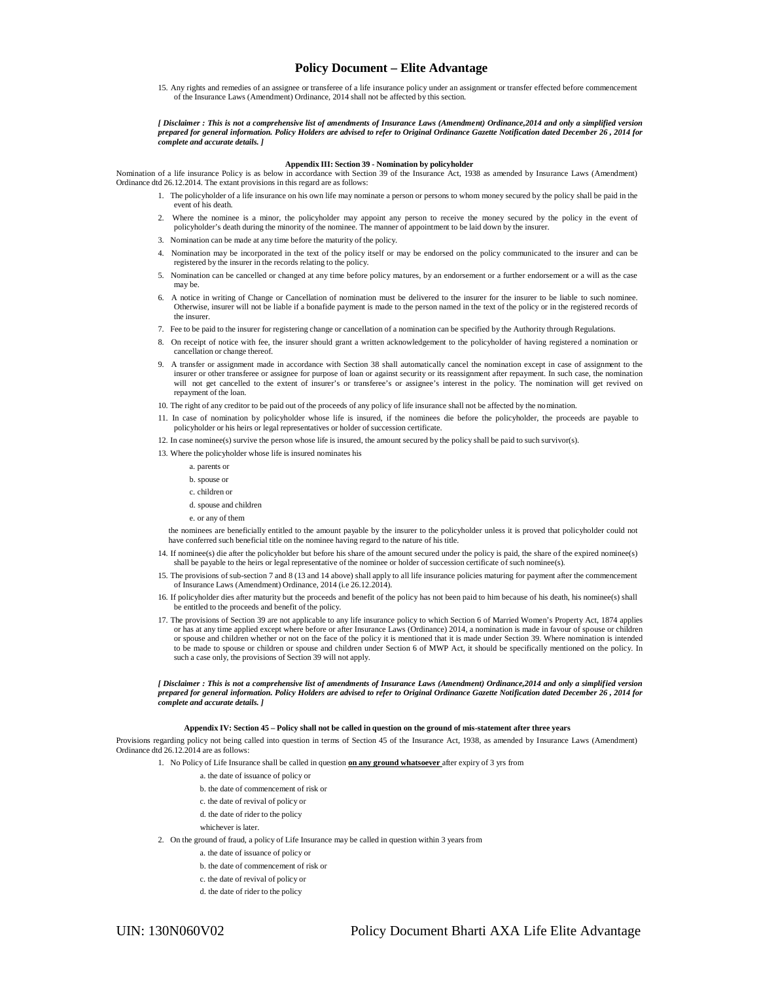15. Any rights and remedies of an assignee or transferee of a life insurance policy under an assignment or transfer effected before commencement of the Insurance Laws (Amendment) Ordinance, 2014 shall not be affected by this section.

*[ Disclaimer : This is not a comprehensive list of amendments of Insurance Laws (Amendment) Ordinance,2014 and only a simplified version prepared for general information. Policy Holders are advised to refer to Original Ordinance Gazette Notification dated December 26 , 2014 for complete and accurate details. ]*

#### **Appendix III: Section 39 - Nomination by policyholder**

Nomination of a life insurance Policy is as below in accordance with Section 39 of the Insurance Act, 1938 as amended by Insurance Laws (Amendment) Ordinance dtd 26.12.2014. The extant provisions in this regard are as follows:

- 1. The policyholder of a life insurance on his own life may nominate a person or persons to whom money secured by the policy shall be paid in the event of his death.
- 2. Where the nominee is a minor, the policyholder may appoint any person to receive the money secured by the policy in the event of policyholder's death during the minority of the nominee. The manner of appointment to be laid down by the insurer.
- 3. Nomination can be made at any time before the maturity of the policy.
- 4. Nomination may be incorporated in the text of the policy itself or may be endorsed on the policy communicated to the insurer and can be registered by the insurer in the records relating to the policy.
- 5. Nomination can be cancelled or changed at any time before policy matures, by an endorsement or a further endorsement or a will as the case may be.
- 6. A notice in writing of Change or Cancellation of nomination must be delivered to the insurer for the insurer to be liable to such nominee. Otherwise, insurer will not be liable if a bonafide payment is made to the person named in the text of the policy or in the registered records of the insurer
- 7. Fee to be paid to the insurer for registering change or cancellation of a nomination can be specified by the Authority through Regulations.
- 8. On receipt of notice with fee, the insurer should grant a written acknowledgement to the policyholder of having registered a nomination or cancellation or change thereof.
- 9. A transfer or assignment made in accordance with Section 38 shall automatically cancel the nomination except in case of assignment to the insurer or other transferee or assignee for purpose of loan or against security or its reassignment after repayment. In such case, the nomination will not get cancelled to the extent of insurer's or transferee's or assignee's interest in the policy. The nomination will get revived on repayment of the loan.
- 10. The right of any creditor to be paid out of the proceeds of any policy of life insurance shall not be affected by the no mination.
- 11. In case of nomination by policyholder whose life is insured, if the nominees die before the policyholder, the proceeds are payable to policyholder or his heirs or legal representatives or holder of succession certificate.
- 12. In case nominee(s) survive the person whose life is insured, the amount secured by the policy shall be paid to such survivor(s).
- 13. Where the policyholder whose life is insured nominates his
	- a. parents or
	- b. spouse or
	- c. children or
	- d. spouse and children
	- e. or any of them

the nominees are beneficially entitled to the amount payable by the insurer to the policyholder unless it is proved that policyholder could not have conferred such beneficial title on the nominee having regard to the nature of his title.

- 14. If nominee(s) die after the policyholder but before his share of the amount secured under the policy is paid, the share o f the expired nominee(s) shall be payable to the heirs or legal representative of the nominee or holder of succession certificate of such nominee(s).
- 15. The provisions of sub-section 7 and 8 (13 and 14 above) shall apply to all life insurance policies maturing for payment after the commencement of Insurance Laws (Amendment) Ordinance, 2014 (i.e 26.12.2014).
- 16. If policyholder dies after maturity but the proceeds and benefit of the policy has not been paid to him because of his death, his nominee(s) shall be entitled to the proceeds and benefit of the policy.
- 17. The provisions of Section 39 are not applicable to any life insurance policy to which Section 6 of Married Women's Property Act, 1874 applies or has at any time applied except where before or after Insurance Laws (Ordinance) 2014, a nomination is made in favour of spouse or children or spouse and children whether or not on the face of the policy it is mentioned that it is made under Section 39. Where nomination is intended to be made to spouse or children or spouse and children under Section 6 of MWP Act, it should be specifically mentioned on the policy. In such a case only, the provisions of Section 39 will not apply.

*[ Disclaimer : This is not a comprehensive list of amendments of Insurance Laws (Amendment) Ordinance,2014 and only a simplified version prepared for general information. Policy Holders are advised to refer to Original Ordinance Gazette Notification dated December 26 , 2014 for complete and accurate details. ]*

#### **Appendix IV: Section 45 – Policy shall not be called in question on the ground of mis-statement after three years**

Provisions regarding policy not being called into question in terms of Section 45 of the Insurance Act, 1938, as amended by Insurance Laws (Amendment) Ordinance dtd 26.12.2014 are as follows:

- 1. No Policy of Life Insurance shall be called in question **on any ground whatsoever** after expiry of 3 yrs from
	- a. the date of issuance of policy or
	- b. the date of commencement of risk or
	- c. the date of revival of policy or
	- d. the date of rider to the policy
	- whichever is later.
- 2. On the ground of fraud, a policy of Life Insurance may be called in question within 3 years from
	- a. the date of issuance of policy or
	- b. the date of commencement of risk or
	- c. the date of revival of policy or
	- d. the date of rider to the policy